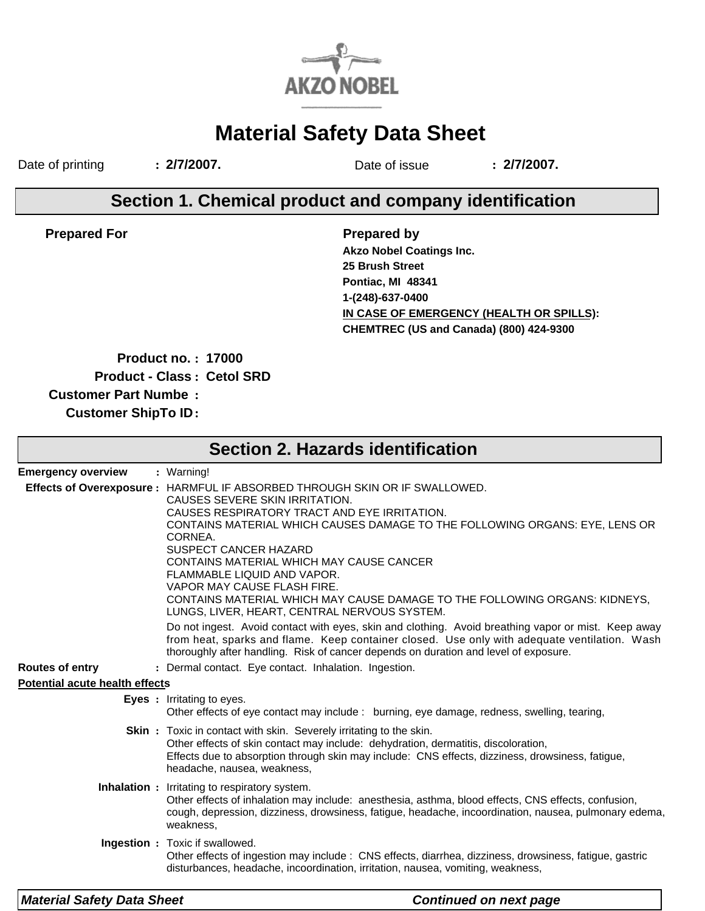

# **Material Safety Data Sheet**

Date of printing **: 2/7/2007.** Date of issue **: 2/7/2007.**

## **Section 1. Chemical product and company identification**

**Prepared For**

**Prepared by IN CASE OF EMERGENCY (HEALTH OR SPILLS): Akzo Nobel Coatings Inc. CHEMTREC (US and Canada) (800) 424-9300 25 Brush Street Pontiac, MI 48341 1-(248)-637-0400**

**Product no. : 17000**

**Product - Class : Cetol SRD**

**Customer Part Numbe :**

**Customer ShipTo ID:**

|                                       | <b>Section 2. Hazards identification</b>                                                                                                                                                                                                                                                                                                                                                                                                                                                                                 |
|---------------------------------------|--------------------------------------------------------------------------------------------------------------------------------------------------------------------------------------------------------------------------------------------------------------------------------------------------------------------------------------------------------------------------------------------------------------------------------------------------------------------------------------------------------------------------|
| <b>Emergency overview</b>             | : Warning!                                                                                                                                                                                                                                                                                                                                                                                                                                                                                                               |
|                                       | Effects of Overexposure : HARMFUL IF ABSORBED THROUGH SKIN OR IF SWALLOWED.<br>CAUSES SEVERE SKIN IRRITATION.<br>CAUSES RESPIRATORY TRACT AND EYE IRRITATION.<br>CONTAINS MATERIAL WHICH CAUSES DAMAGE TO THE FOLLOWING ORGANS: EYE, LENS OR<br>CORNEA.<br>SUSPECT CANCER HAZARD<br>CONTAINS MATERIAL WHICH MAY CAUSE CANCER<br>FLAMMABLE LIQUID AND VAPOR.<br>VAPOR MAY CAUSE FLASH FIRE.<br>CONTAINS MATERIAL WHICH MAY CAUSE DAMAGE TO THE FOLLOWING ORGANS: KIDNEYS,<br>LUNGS, LIVER, HEART, CENTRAL NERVOUS SYSTEM. |
|                                       | Do not ingest. Avoid contact with eyes, skin and clothing. Avoid breathing vapor or mist. Keep away<br>from heat, sparks and flame. Keep container closed. Use only with adequate ventilation. Wash<br>thoroughly after handling. Risk of cancer depends on duration and level of exposure.                                                                                                                                                                                                                              |
| <b>Routes of entry</b>                | : Dermal contact. Eye contact. Inhalation. Ingestion.                                                                                                                                                                                                                                                                                                                                                                                                                                                                    |
| <b>Potential acute health effects</b> |                                                                                                                                                                                                                                                                                                                                                                                                                                                                                                                          |
|                                       | <b>Eyes</b> : Irritating to eyes.<br>Other effects of eye contact may include : burning, eye damage, redness, swelling, tearing,                                                                                                                                                                                                                                                                                                                                                                                         |
|                                       | <b>Skin</b> : Toxic in contact with skin. Severely irritating to the skin.<br>Other effects of skin contact may include: dehydration, dermatitis, discoloration,<br>Effects due to absorption through skin may include: CNS effects, dizziness, drowsiness, fatigue,<br>headache, nausea, weakness,                                                                                                                                                                                                                      |
|                                       | <b>Inhalation :</b> Irritating to respiratory system.<br>Other effects of inhalation may include: anesthesia, asthma, blood effects, CNS effects, confusion,<br>cough, depression, dizziness, drowsiness, fatigue, headache, incoordination, nausea, pulmonary edema,<br>weakness,                                                                                                                                                                                                                                       |
|                                       | Ingestion : Toxic if swallowed.<br>Other effects of ingestion may include : CNS effects, diarrhea, dizziness, drowsiness, fatigue, gastric<br>disturbances, headache, incoordination, irritation, nausea, vomiting, weakness,                                                                                                                                                                                                                                                                                            |
| <b>Material Safety Data Sheet</b>     | <b>Continued on next page</b>                                                                                                                                                                                                                                                                                                                                                                                                                                                                                            |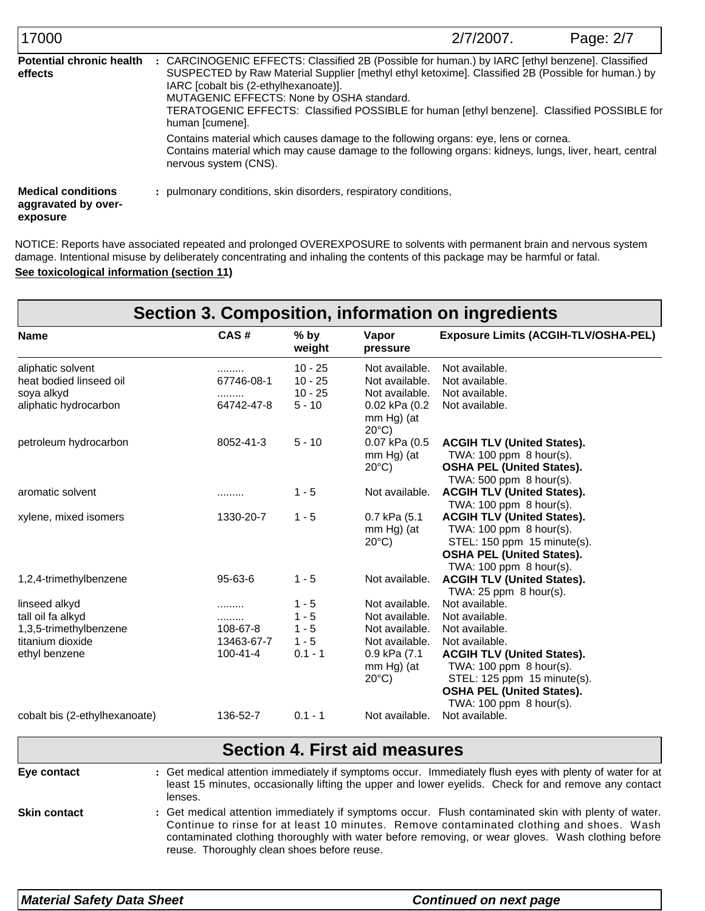| 17000                                                        | 2/7/2007.                                                                                                                                                                                                                                                                                                                                                                                                   | Page: 2/7 |
|--------------------------------------------------------------|-------------------------------------------------------------------------------------------------------------------------------------------------------------------------------------------------------------------------------------------------------------------------------------------------------------------------------------------------------------------------------------------------------------|-----------|
| <b>Potential chronic health</b><br>effects                   | CARCINOGENIC EFFECTS: Classified 2B (Possible for human.) by IARC [ethyl benzene]. Classified<br>SUSPECTED by Raw Material Supplier [methyl ethyl ketoxime]. Classified 2B (Possible for human.) by<br>IARC [cobalt bis (2-ethylhexanoate)].<br>MUTAGENIC EFFECTS: None by OSHA standard.<br>TERATOGENIC EFFECTS: Classified POSSIBLE for human [ethyl benzene]. Classified POSSIBLE for<br>human [cumene]. |           |
|                                                              | Contains material which causes damage to the following organs: eye, lens or cornea.<br>Contains material which may cause damage to the following organs: kidneys, lungs, liver, heart, central<br>nervous system (CNS).                                                                                                                                                                                     |           |
| <b>Medical conditions</b><br>aggravated by over-<br>exposure | : pulmonary conditions, skin disorders, respiratory conditions,                                                                                                                                                                                                                                                                                                                                             |           |

**See toxicological information (section 11)** NOTICE: Reports have associated repeated and prolonged OVEREXPOSURE to solvents with permanent brain and nervous system damage. Intentional misuse by deliberately concentrating and inhaling the contents of this package may be harmful or fatal.

|                               |                |                  |                                                | Section 3. Composition, information on ingredients                                                                                                                                                                |
|-------------------------------|----------------|------------------|------------------------------------------------|-------------------------------------------------------------------------------------------------------------------------------------------------------------------------------------------------------------------|
| <b>Name</b>                   | CAS#           | $%$ by<br>weight | Vapor<br>pressure                              | <b>Exposure Limits (ACGIH-TLV/OSHA-PEL)</b>                                                                                                                                                                       |
| aliphatic solvent             | .              | $10 - 25$        | Not available.                                 | Not available.                                                                                                                                                                                                    |
| heat bodied linseed oil       | 67746-08-1     | $10 - 25$        | Not available.                                 | Not available.                                                                                                                                                                                                    |
| soya alkyd                    | .              | $10 - 25$        | Not available.                                 | Not available.                                                                                                                                                                                                    |
| aliphatic hydrocarbon         | 64742-47-8     | $5 - 10$         | 0.02 kPa (0.2<br>mm Hg) (at<br>$20^{\circ}$ C) | Not available.                                                                                                                                                                                                    |
| petroleum hydrocarbon         | 8052-41-3      | $5 - 10$         | 0.07 kPa (0.5                                  | <b>ACGIH TLV (United States).</b>                                                                                                                                                                                 |
|                               |                |                  | mm Hg) (at                                     | TWA: 100 ppm 8 hour(s).                                                                                                                                                                                           |
|                               |                |                  | $20^{\circ}$ C)                                | <b>OSHA PEL (United States).</b>                                                                                                                                                                                  |
|                               |                |                  |                                                | TWA: 500 ppm 8 hour(s).                                                                                                                                                                                           |
| aromatic solvent              | .              | $1 - 5$          | Not available.                                 | <b>ACGIH TLV (United States).</b>                                                                                                                                                                                 |
|                               |                |                  |                                                | TWA: 100 ppm 8 hour(s).                                                                                                                                                                                           |
| xylene, mixed isomers         | 1330-20-7      | $1 - 5$          | 0.7 kPa (5.1                                   | <b>ACGIH TLV (United States).</b>                                                                                                                                                                                 |
|                               |                |                  | mm Hg) (at                                     | TWA: 100 ppm 8 hour(s).                                                                                                                                                                                           |
|                               |                |                  | $20^{\circ}$ C)                                | STEL: 150 ppm 15 minute(s).                                                                                                                                                                                       |
|                               |                |                  |                                                | <b>OSHA PEL (United States).</b>                                                                                                                                                                                  |
|                               |                |                  |                                                | TWA: 100 ppm 8 hour(s).                                                                                                                                                                                           |
| 1,2,4-trimethylbenzene        | $95 - 63 - 6$  | $1 - 5$          | Not available.                                 | <b>ACGIH TLV (United States).</b><br>TWA: $25$ ppm $8$ hour(s).                                                                                                                                                   |
| linseed alkyd                 | .              | $1 - 5$          | Not available.                                 | Not available.                                                                                                                                                                                                    |
| tall oil fa alkyd             | .              | $1 - 5$          | Not available.                                 | Not available.                                                                                                                                                                                                    |
| 1,3,5-trimethylbenzene        | 108-67-8       | $1 - 5$          | Not available.                                 | Not available.                                                                                                                                                                                                    |
| titanium dioxide              | 13463-67-7     | $1 - 5$          |                                                | Not available. Not available.                                                                                                                                                                                     |
| ethyl benzene                 | $100 - 41 - 4$ | $0.1 - 1$        | 0.9 kPa (7.1                                   | <b>ACGIH TLV (United States).</b>                                                                                                                                                                                 |
|                               |                |                  | mm Hg) (at                                     | TWA: 100 ppm 8 hour(s).                                                                                                                                                                                           |
|                               |                |                  | $20^{\circ}$ C)                                | STEL: 125 ppm 15 minute(s).                                                                                                                                                                                       |
|                               |                |                  |                                                | <b>OSHA PEL (United States).</b>                                                                                                                                                                                  |
|                               |                |                  |                                                | TWA: 100 ppm 8 hour(s).                                                                                                                                                                                           |
| cobalt bis (2-ethylhexanoate) | 136-52-7       | $0.1 - 1$        | Not available.                                 | Not available.                                                                                                                                                                                                    |
|                               |                |                  | <b>Section 4. First aid measures</b>           |                                                                                                                                                                                                                   |
|                               |                |                  |                                                |                                                                                                                                                                                                                   |
| Eye contact                   |                |                  |                                                | : Get medical attention immediately if symptoms occur. Immediately flush eyes with plenty of water for at<br>least 15 minutes, occasionally lifting the upper and lower eyelids. Check for and remove any contact |
| lenses.                       |                |                  |                                                |                                                                                                                                                                                                                   |

Get medical attention immediately if symptoms occur. Flush contaminated skin with plenty of water. **:** Continue to rinse for at least 10 minutes. Remove contaminated clothing and shoes. Wash contaminated clothing thoroughly with water before removing, or wear gloves. Wash clothing before reuse. Thoroughly clean shoes before reuse. **Skin contact**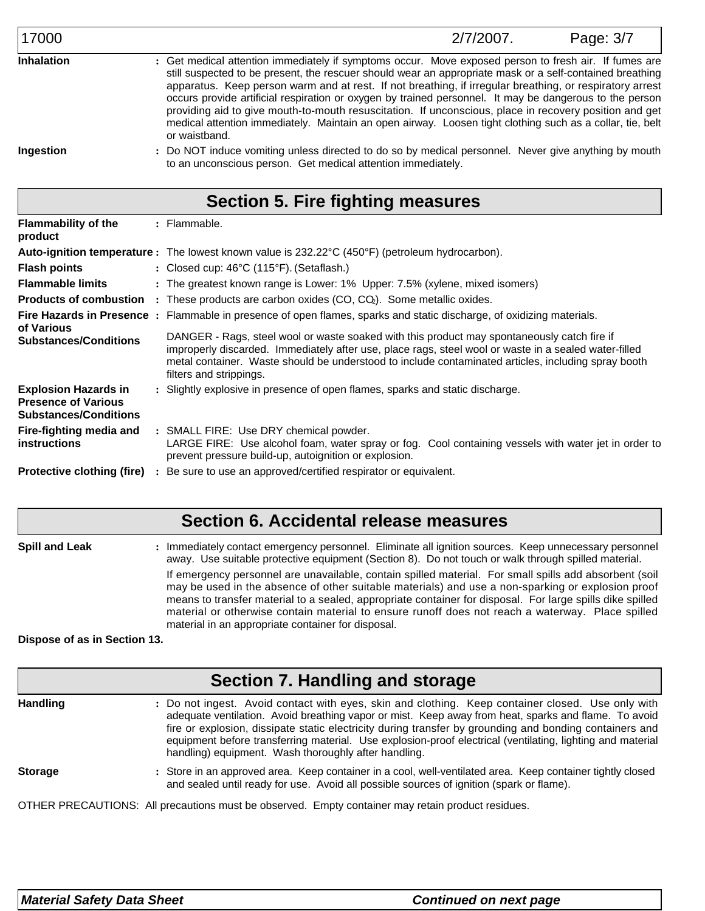Get medical attention immediately if symptoms occur. Move exposed person to fresh air. If fumes are **:** still suspected to be present, the rescuer should wear an appropriate mask or a self-contained breathing apparatus. Keep person warm and at rest. If not breathing, if irregular breathing, or respiratory arrest occurs provide artificial respiration or oxygen by trained personnel. It may be dangerous to the person providing aid to give mouth-to-mouth resuscitation. If unconscious, place in recovery position and get medical attention immediately. Maintain an open airway. Loosen tight clothing such as a collar, tie, belt or waistband. **Inhalation**

**Ingestion**

Do NOT induce vomiting unless directed to do so by medical personnel. Never give anything by mouth **:** to an unconscious person. Get medical attention immediately.

# **Section 5. Fire fighting measures**

| <b>Flammability of the</b><br>product                                                     |                | : Flammable.                                                                                                                                                                                                                                                                                                                           |
|-------------------------------------------------------------------------------------------|----------------|----------------------------------------------------------------------------------------------------------------------------------------------------------------------------------------------------------------------------------------------------------------------------------------------------------------------------------------|
|                                                                                           |                | Auto-ignition temperature: The lowest known value is 232.22°C (450°F) (petroleum hydrocarbon).                                                                                                                                                                                                                                         |
| <b>Flash points</b>                                                                       |                | : Closed cup: $46^{\circ}$ C (115 $^{\circ}$ F). (Setaflash.)                                                                                                                                                                                                                                                                          |
| <b>Flammable limits</b>                                                                   |                | : The greatest known range is Lower: 1% Upper: 7.5% (xylene, mixed isomers)                                                                                                                                                                                                                                                            |
| <b>Products of combustion</b>                                                             |                | $:$ These products are carbon oxides (CO, CO $_{2}$ ). Some metallic oxides.                                                                                                                                                                                                                                                           |
| of Various                                                                                |                | Fire Hazards in Presence : Flammable in presence of open flames, sparks and static discharge, of oxidizing materials.                                                                                                                                                                                                                  |
| <b>Substances/Conditions</b>                                                              |                | DANGER - Rags, steel wool or waste soaked with this product may spontaneously catch fire if<br>improperly discarded. Immediately after use, place rags, steel wool or waste in a sealed water-filled<br>metal container. Waste should be understood to include contaminated articles, including spray booth<br>filters and strippings. |
| <b>Explosion Hazards in</b><br><b>Presence of Various</b><br><b>Substances/Conditions</b> |                | : Slightly explosive in presence of open flames, sparks and static discharge.                                                                                                                                                                                                                                                          |
| Fire-fighting media and<br><b>instructions</b>                                            |                | : SMALL FIRE: Use DRY chemical powder.<br>LARGE FIRE: Use alcohol foam, water spray or fog. Cool containing vessels with water jet in order to<br>prevent pressure build-up, autoignition or explosion.                                                                                                                                |
| <b>Protective clothing (fire)</b>                                                         | $\ddot{\cdot}$ | Be sure to use an approved/certified respirator or equivalent.                                                                                                                                                                                                                                                                         |

## **Section 6. Accidental release measures**

**Spill and Leak :** : Immediately contact emergency personnel. Eliminate all ignition sources. Keep unnecessary personnel away. Use suitable protective equipment (Section 8). Do not touch or walk through spilled material. If emergency personnel are unavailable, contain spilled material. For small spills add absorbent (soil may be used in the absence of other suitable materials) and use a non-sparking or explosion proof means to transfer material to a sealed, appropriate container for disposal. For large spills dike spilled material or otherwise contain material to ensure runoff does not reach a waterway. Place spilled material in an appropriate container for disposal.

### **Dispose of as in Section 13.**

| Section 7. Handling and storage |                                                                                                                                                                                                                                                                                                                                                                                                                                                                                            |  |  |
|---------------------------------|--------------------------------------------------------------------------------------------------------------------------------------------------------------------------------------------------------------------------------------------------------------------------------------------------------------------------------------------------------------------------------------------------------------------------------------------------------------------------------------------|--|--|
| <b>Handling</b>                 | : Do not ingest. Avoid contact with eyes, skin and clothing. Keep container closed. Use only with<br>adequate ventilation. Avoid breathing vapor or mist. Keep away from heat, sparks and flame. To avoid<br>fire or explosion, dissipate static electricity during transfer by grounding and bonding containers and<br>equipment before transferring material. Use explosion-proof electrical (ventilating, lighting and material<br>handling) equipment. Wash thoroughly after handling. |  |  |
| <b>Storage</b>                  | : Store in an approved area. Keep container in a cool, well-ventilated area. Keep container tightly closed<br>and sealed until ready for use. Avoid all possible sources of ignition (spark or flame).                                                                                                                                                                                                                                                                                     |  |  |
|                                 | OTHER PRECAUTIONS: All precautions must be observed. Empty container may retain product residues.                                                                                                                                                                                                                                                                                                                                                                                          |  |  |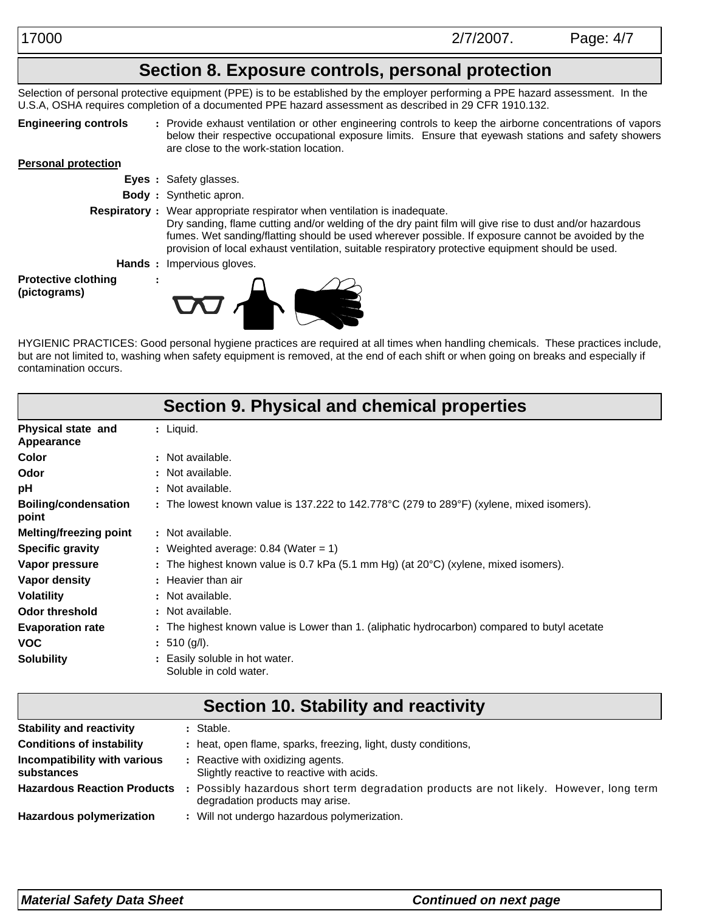# **Section 8. Exposure controls, personal protection**

Selection of personal protective equipment (PPE) is to be established by the employer performing a PPE hazard assessment. In the U.S.A, OSHA requires completion of a documented PPE hazard assessment as described in 29 CFR 1910.132.

**Engineering controls**

Provide exhaust ventilation or other engineering controls to keep the airborne concentrations of vapors **:** below their respective occupational exposure limits. Ensure that eyewash stations and safety showers are close to the work-station location.

#### **Personal protection**

- **Eyes :** Safety glasses.
- **Body :** Synthetic apron.
- **Respiratory :** Wear appropriate respirator when ventilation is inadequate. Dry sanding, flame cutting and/or welding of the dry paint film will give rise to dust and/or hazardous fumes. Wet sanding/flatting should be used wherever possible. If exposure cannot be avoided by the provision of local exhaust ventilation, suitable respiratory protective equipment should be used.
	- **Hands :** Impervious gloves.

**:**

**Protective clothing (pictograms)**



HYGIENIC PRACTICES: Good personal hygiene practices are required at all times when handling chemicals. These practices include, but are not limited to, washing when safety equipment is removed, at the end of each shift or when going on breaks and especially if contamination occurs.

|                                         | Section 9. Physical and chemical properties                                                                  |
|-----------------------------------------|--------------------------------------------------------------------------------------------------------------|
| Physical state and<br><b>Appearance</b> | $:$ Liquid.                                                                                                  |
| Color                                   | : Not available.                                                                                             |
| Odor                                    | : Not available.                                                                                             |
| рH                                      | : Not available.                                                                                             |
| <b>Boiling/condensation</b><br>point    | : The lowest known value is 137.222 to 142.778 $\degree$ C (279 to 289 $\degree$ F) (xylene, mixed isomers). |
| <b>Melting/freezing point</b>           | : Not available.                                                                                             |
| <b>Specific gravity</b>                 | : Weighted average: $0.84$ (Water = 1)                                                                       |
| Vapor pressure                          | : The highest known value is 0.7 kPa (5.1 mm Hg) (at $20^{\circ}$ C) (xylene, mixed isomers).                |
| Vapor density                           | : Heavier than air                                                                                           |
| <b>Volatility</b>                       | : Not available.                                                                                             |
| <b>Odor threshold</b>                   | : Not available.                                                                                             |
| <b>Evaporation rate</b>                 | : The highest known value is Lower than 1. (aliphatic hydrocarbon) compared to butyl acetate                 |
| <b>VOC</b>                              | : 510 (g/l).                                                                                                 |
| <b>Solubility</b>                       | : Easily soluble in hot water.<br>Soluble in cold water.                                                     |

|                                            | Section 10. Stability and reactivity                                                                                     |
|--------------------------------------------|--------------------------------------------------------------------------------------------------------------------------|
| <b>Stability and reactivity</b>            | : Stable.                                                                                                                |
| <b>Conditions of instability</b>           | : heat, open flame, sparks, freezing, light, dusty conditions,                                                           |
| Incompatibility with various<br>substances | : Reactive with oxidizing agents.<br>Slightly reactive to reactive with acids.                                           |
| <b>Hazardous Reaction Products</b>         | Possibly hazardous short term degradation products are not likely. However, long term<br>degradation products may arise. |
| <b>Hazardous polymerization</b>            | : Will not undergo hazardous polymerization.                                                                             |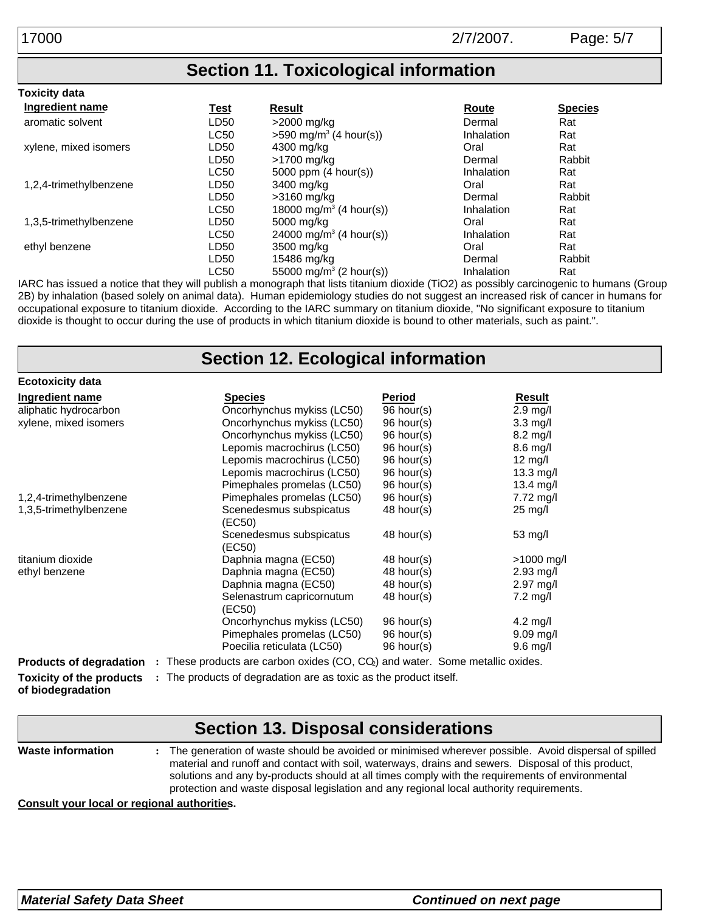## **Section 11. Toxicological information**

| <b>Toxicity data</b>   |             |                                      |            |                |
|------------------------|-------------|--------------------------------------|------------|----------------|
| Ingredient name        | <u>Test</u> | <b>Result</b>                        | Route      | <b>Species</b> |
| aromatic solvent       | LD50        | >2000 mg/kg                          | Dermal     | Rat            |
|                        | <b>LC50</b> | $>590$ mg/m <sup>3</sup> (4 hour(s)) | Inhalation | Rat            |
| xylene, mixed isomers  | LD50        | 4300 mg/kg                           | Oral       | Rat            |
|                        | LD50        | >1700 mg/kg                          | Dermal     | Rabbit         |
|                        | <b>LC50</b> | 5000 ppm $(4 \text{ hour(s)})$       | Inhalation | Rat            |
| 1,2,4-trimethylbenzene | LD50        | 3400 mg/kg                           | Oral       | Rat            |
|                        | LD50        | >3160 mg/kg                          | Dermal     | Rabbit         |
|                        | <b>LC50</b> | 18000 mg/m <sup>3</sup> (4 hour(s))  | Inhalation | Rat            |
| 1,3,5-trimethylbenzene | LD50        | 5000 mg/kg                           | Oral       | Rat            |
|                        | <b>LC50</b> | 24000 mg/m <sup>3</sup> (4 hour(s))  | Inhalation | Rat            |
| ethyl benzene          | LD50        | 3500 mg/kg                           | Oral       | Rat            |
|                        | LD50        | 15486 mg/kg                          | Dermal     | Rabbit         |
|                        | <b>LC50</b> | 55000 mg/m <sup>3</sup> (2 hour(s))  | Inhalation | Rat            |

IARC has issued a notice that they will publish a monograph that lists titanium dioxide (TiO2) as possibly carcinogenic to humans (Group 2B) by inhalation (based solely on animal data). Human epidemiology studies do not suggest an increased risk of cancer in humans for occupational exposure to titanium dioxide. According to the IARC summary on titanium dioxide, "No significant exposure to titanium dioxide is thought to occur during the use of products in which titanium dioxide is bound to other materials, such as paint.".

#### **Toxicity of the products** : The products of degradation are as toxic as the product itself. **Section 12. Ecological information of biodegradation Products of degradation** : These products are carbon oxides (CO, CQ) and water. Some metallic oxides. **Ecotoxicity data Ingredient name Species Period Result** aliphatic hydrocarbon Oncorhynchus mykiss (LC50) 96 hour(s) 2.9 mg/l xylene, mixed isomers Oncorhynchus mykiss (LC50) Oncorhynchus mykiss (LC50) Lepomis macrochirus (LC50) Lepomis macrochirus (LC50) Lepomis macrochirus (LC50) Pimephales promelas (LC50) 96 hour(s) 96 hour(s) 96 hour(s) 96 hour(s) 96 hour(s) 96 hour(s) 3.3 mg/l 8.2 mg/l 8.6 mg/l 12 mg/l 13.3 mg/l 13.4 mg/l 1,2,4-trimethylbenzene Pimephales promelas (LC50) 96 hour(s) 7.72 mg/l 1,3,5-trimethylbenzene Scenedesmus subspicatus (EC50) Scenedesmus subspicatus (EC50) 48 hour(s) 48 hour(s) 25 mg/l 53 mg/l titanium dioxide **Daphnia magna (EC50)** 48 hour(s) >1000 mg/l ethyl benzene Daphnia magna (EC50) Daphnia magna (EC50) Selenastrum capricornutum (EC50) Oncorhynchus mykiss (LC50) Pimephales promelas (LC50) Poecilia reticulata (LC50) 48 hour(s) 48 hour(s) 48 hour(s) 96 hour(s) 96 hour(s) 96 hour(s) 2.93 mg/l 2.97 mg/l 7.2 mg/l 4.2 mg/l 9.09 mg/l 9.6 mg/l

#### **Waste information Section 13. Disposal considerations :** The generation of waste should be avoided or minimised wherever possible. Avoid dispersal of spilled material and runoff and contact with soil, waterways, drains and sewers. Disposal of this product, solutions and any by-products should at all times comply with the requirements of environmental protection and waste disposal legislation and any regional local authority requirements.

**Consult your local or regional authorities.**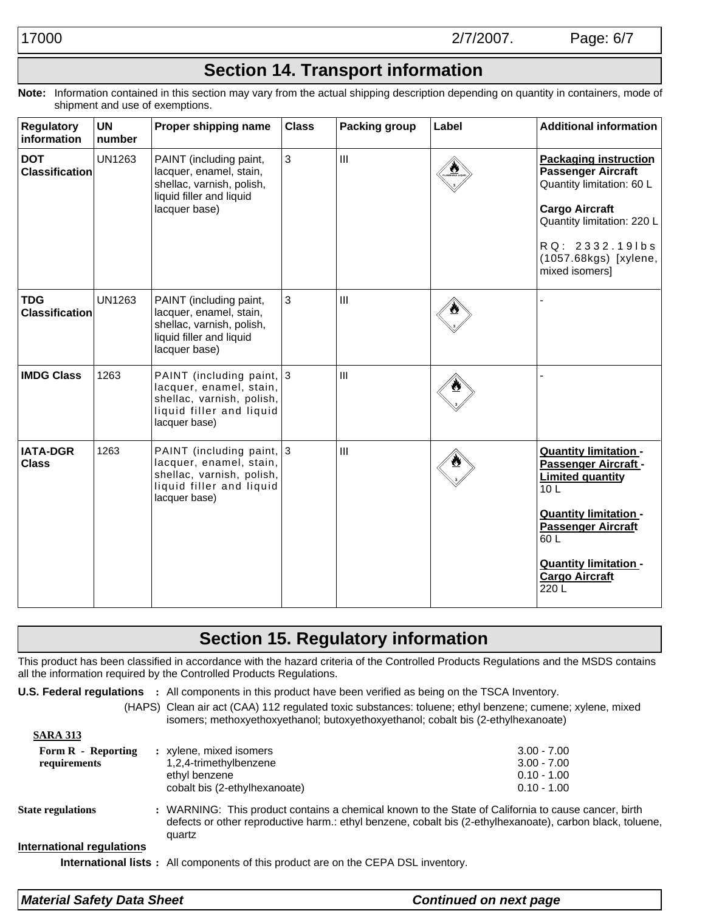# **Section 14. Transport information**

**Note:** Information contained in this section may vary from the actual shipping description depending on quantity in containers, mode of shipment and use of exemptions.

| <b>Regulatory</b><br>information    | <b>UN</b><br>number | Proper shipping name                                                                                                           | <b>Class</b> | <b>Packing group</b> | Label | <b>Additional information</b>                                                                                                                                                                                                            |
|-------------------------------------|---------------------|--------------------------------------------------------------------------------------------------------------------------------|--------------|----------------------|-------|------------------------------------------------------------------------------------------------------------------------------------------------------------------------------------------------------------------------------------------|
| <b>DOT</b><br><b>Classification</b> | <b>UN1263</b>       | PAINT (including paint,<br>lacquer, enamel, stain,<br>shellac, varnish, polish,<br>liquid filler and liquid<br>lacquer base)   | $\mathbf{3}$ | $\mathbf{III}$       |       | <b>Packaging instruction</b><br><b>Passenger Aircraft</b><br>Quantity limitation: 60 L<br><b>Cargo Aircraft</b><br>Quantity limitation: 220 L<br>RQ: 2332.191bs<br>(1057.68kgs) [xylene,<br>mixed isomers]                               |
| <b>TDG</b><br><b>Classification</b> | <b>UN1263</b>       | PAINT (including paint,<br>lacquer, enamel, stain,<br>shellac, varnish, polish,<br>liquid filler and liquid<br>lacquer base)   | 3            | $\mathbf{III}$       |       |                                                                                                                                                                                                                                          |
| <b>IMDG Class</b>                   | 1263                | PAINT (including paint, 3<br>lacquer, enamel, stain,<br>shellac, varnish, polish,<br>liquid filler and liquid<br>lacquer base) |              | III                  |       |                                                                                                                                                                                                                                          |
| <b>IATA-DGR</b><br><b>Class</b>     | 1263                | PAINT (including paint, 3<br>lacquer, enamel, stain,<br>shellac, varnish, polish,<br>liquid filler and liquid<br>lacquer base) |              | $\mathbf{III}$       |       | <b>Quantity limitation -</b><br>Passenger Aircraft -<br><b>Limited quantity</b><br>10 <sub>L</sub><br><b>Quantity limitation -</b><br><b>Passenger Aircraft</b><br>60L<br><b>Quantity limitation -</b><br><b>Cargo Aircraft</b><br>220 L |

# **Section 15. Regulatory information**

This product has been classified in accordance with the hazard criteria of the Controlled Products Regulations and the MSDS contains all the information required by the Controlled Products Regulations.

| U.S. Federal regulations  | : All components in this product have been verified as being on the TSCA Inventory.                                                                                                                                        |               |  |
|---------------------------|----------------------------------------------------------------------------------------------------------------------------------------------------------------------------------------------------------------------------|---------------|--|
|                           | (HAPS) Clean air act (CAA) 112 regulated toxic substances: toluene; ethyl benzene; cumene; xylene, mixed<br>isomers; methoxyethoxyethanol; butoxyethoxyethanol; cobalt bis (2-ethylhexanoate)                              |               |  |
| <b>SARA 313</b>           |                                                                                                                                                                                                                            |               |  |
| Form R - Reporting        | : xylene, mixed isomers                                                                                                                                                                                                    | $3.00 - 7.00$ |  |
| requirements              | 1,2,4-trimethylbenzene                                                                                                                                                                                                     | $3.00 - 7.00$ |  |
|                           | ethyl benzene                                                                                                                                                                                                              | $0.10 - 1.00$ |  |
|                           | cobalt bis (2-ethylhexanoate)                                                                                                                                                                                              | $0.10 - 1.00$ |  |
| <b>State regulations</b>  | : WARNING: This product contains a chemical known to the State of California to cause cancer, birth<br>defects or other reproductive harm.: ethyl benzene, cobalt bis (2-ethylhexanoate), carbon black, toluene,<br>quartz |               |  |
| International regulations |                                                                                                                                                                                                                            |               |  |
|                           | <b>International lists</b> : All components of this product are on the CEPA DSL inventory.                                                                                                                                 |               |  |

| <b>Material Safety Data Sheet</b> | <b>Continued on next page</b> |
|-----------------------------------|-------------------------------|